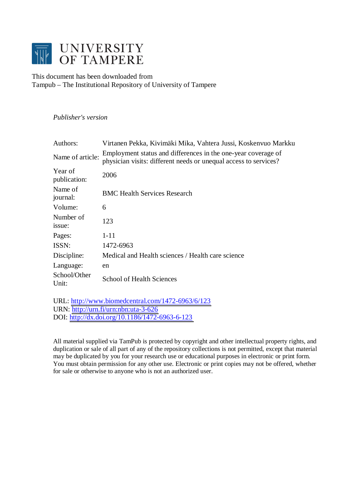

This document has been downloaded from Tampub – The Institutional Repository of University of Tampere

### *Publisher's version*

| Authors:                | Virtanen Pekka, Kivimäki Mika, Vahtera Jussi, Koskenvuo Markku                                                                    |
|-------------------------|-----------------------------------------------------------------------------------------------------------------------------------|
| Name of article:        | Employment status and differences in the one-year coverage of<br>physician visits: different needs or unequal access to services? |
| Year of<br>publication: | 2006                                                                                                                              |
| Name of<br>journal:     | <b>BMC Health Services Research</b>                                                                                               |
| Volume:                 | 6                                                                                                                                 |
| Number of<br>issue:     | 123                                                                                                                               |
| Pages:                  | $1 - 11$                                                                                                                          |
| ISSN:                   | 1472-6963                                                                                                                         |
| Discipline:             | Medical and Health sciences / Health care science                                                                                 |
| Language:               | en                                                                                                                                |
| School/Other<br>Unit:   | <b>School of Health Sciences</b>                                                                                                  |
|                         |                                                                                                                                   |

URL: <http://www.biomedcentral.com/1472-6963/6/123> URN: <http://urn.fi/urn:nbn:uta-3-626> DOI: <http://dx.doi.org/10.1186/1472-6963-6-123>

All material supplied via TamPub is protected by copyright and other intellectual property rights, and duplication or sale of all part of any of the repository collections is not permitted, except that material may be duplicated by you for your research use or educational purposes in electronic or print form. You must obtain permission for any other use. Electronic or print copies may not be offered, whether for sale or otherwise to anyone who is not an authorized user.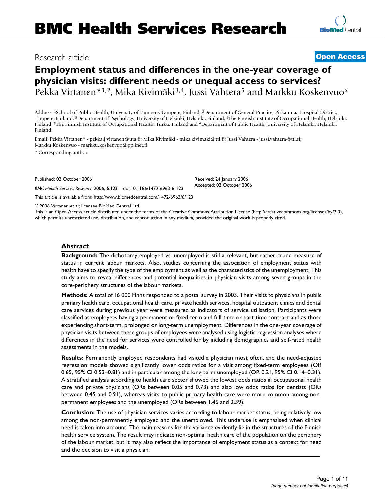## Research article **[Open Access](http://www.biomedcentral.com/info/about/charter/)**

**[BioMed](http://www.biomedcentral.com/)** Central

# **Employment status and differences in the one-year coverage of physician visits: different needs or unequal access to services?** Pekka Virtanen\*<sup>1,2</sup>, Mika Kivimäki<sup>3,4</sup>, Jussi Vahtera<sup>5</sup> and Markku Koskenvuo<sup>6</sup>

Address: 1School of Public Health, University of Tampere, Tampere, Finland, 2Department of General Practice, Pirkanmaa Hospital District, Tampere, Finland, 3Department of Psychology, University of Helsinki, Helsinki, Finland, 4The Finnish Institute of Occupational Health, Helsinki, Finland, <sup>5</sup>The Finnish Institute of Occupational Health, Turku, Finland and <sup>6</sup>Department of Public Health, University of Helsinki, Helsinki, Finland

Email: Pekka Virtanen\* - pekka.j.virtanen@uta.fi; Mika Kivimäki - mika.kivimaki@ttl.fi; Jussi Vahtera - jussi.vahtera@ttl.fi; Markku Koskenvuo - markku.koskenvuo@pp.inet.fi

\* Corresponding author

Published: 02 October 2006

*BMC Health Services Research* 2006, **6**:123 doi:10.1186/1472-6963-6-123

[This article is available from: http://www.biomedcentral.com/1472-6963/6/123](http://www.biomedcentral.com/1472-6963/6/123)

© 2006 Virtanen et al; licensee BioMed Central Ltd.

This is an Open Access article distributed under the terms of the Creative Commons Attribution License [\(http://creativecommons.org/licenses/by/2.0\)](http://creativecommons.org/licenses/by/2.0), which permits unrestricted use, distribution, and reproduction in any medium, provided the original work is properly cited.

Received: 24 January 2006 Accepted: 02 October 2006

### **Abstract**

**Background:** The dichotomy employed vs. unemployed is still a relevant, but rather crude measure of status in current labour markets. Also, studies concerning the association of employment status with health have to specify the type of the employment as well as the characteristics of the unemployment. This study aims to reveal differences and potential inequalities in physician visits among seven groups in the core-periphery structures of the labour markets.

**Methods:** A total of 16 000 Finns responded to a postal survey in 2003. Their visits to physicians in public primary health care, occupational health care, private health services, hospital outpatient clinics and dental care services during previous year were measured as indicators of service utilisation. Participants were classified as employees having a permanent or fixed-term and full-time or part-time contract and as those experiencing short-term, prolonged or long-term unemployment. Differences in the one-year coverage of physician visits between these groups of employees were analysed using logistic regression analyses where differences in the need for services were controlled for by including demographics and self-rated health assessments in the models.

**Results:** Permanently employed respondents had visited a physician most often, and the need-adjusted regression models showed significantly lower odds ratios for a visit among fixed-term employees (OR 0.65, 95% CI 0.53–0.81) and in particular among the long-term unemployed (OR 0.21, 95% CI 0.14–0.31). A stratified analysis according to health care sector showed the lowest odds ratios in occupational health care and private physicians (ORs between 0.05 and 0.73) and also low odds ratios for dentists (ORs between 0.45 and 0.91), whereas visits to public primary health care were more common among nonpermanent employees and the unemployed (ORs between 1.46 and 2.39).

**Conclusion:** The use of physician services varies according to labour market status, being relatively low among the non-permanently employed and the unemployed. This underuse is emphasised when clinical need is taken into account. The main reasons for the variance evidently lie in the structures of the Finnish health service system. The result may indicate non-optimal health care of the population on the periphery of the labour market, but it may also reflect the importance of employment status as a context for need and the decision to visit a physician.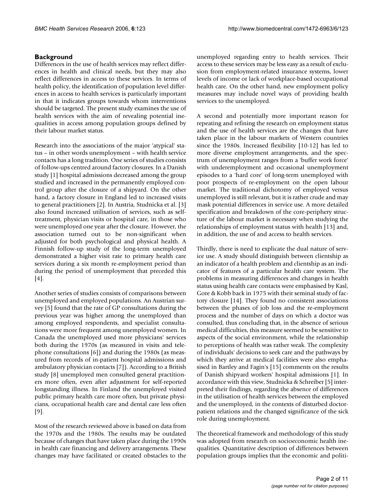### **Background**

Differences in the use of health services may reflect differences in health and clinical needs, but they may also reflect differences in access to these services. In terms of health policy, the identification of population level differences in access to health services is particularly important in that it indicates groups towards whom interventions should be targeted. The present study examines the use of health services with the aim of revealing potential inequalities in access among population groups defined by their labour market status.

Research into the associations of the major 'atypical' status – in other words unemployment – with health service contacts has a long tradition. One series of studies consists of follow-ups centred around factory closures. In a Danish study [1] hospital admissions decreased among the group studied and increased in the permanently employed control group after the closure of a shipyard. On the other hand, a factory closure in England led to increased visits to general practitioners [2]. In Austria, Studnicka et al. [3] also found increased utilisation of services, such as selftreatment, physician visits or hospital care, in those who were unemployed one year after the closure. However, the association turned out to be non-significant when adjusted for both psychological and physical health. A Finnish follow-up study of the long-term unemployed demonstrated a higher visit rate to primary health care services during a six month re-employment period than during the period of unemployment that preceded this [4].

Another series of studies consists of comparisons between unemployed and employed populations. An Austrian survey [5] found that the rate of GP consultations during the previous year was higher among the unemployed than among employed respondents, and specialist consultations were more frequent among unemployed women. In Canada the unemployed used more physicians' services both during the 1970s (as measured in visits and telephone consultations [6]) and during the 1980s (as measured from records of in-patient hospital admissions and ambulatory physician contacts [7]). According to a British study [8] unemployed men consulted general practitioners more often, even after adjustment for self-reported longstanding illness. In Finland the unemployed visited public primary health care more often, but private physicians, occupational health care and dental care less often [9].

Most of the research reviewed above is based on data from the 1970s and the 1980s. The results may be outdated because of changes that have taken place during the 1990s in health care financing and delivery arrangements. These changes may have facilitated or created obstacles to the

unemployed regarding entry to health services. Their access to these services may be less easy as a result of exclusion from employment-related insurance systems, lower levels of income or lack of workplace-based occupational health care. On the other hand, new employment policy measures may include novel ways of providing health services to the unemployed.

A second and potentially more important reason for repeating and refining the research on employment status and the use of health services are the changes that have taken place in the labour markets of Western countries since the 1980s. Increased flexibility [10-12] has led to more diverse employment arrangements, and the spectrum of unemployment ranges from a 'buffer work force' with underemployment and occasional unemployment episodes to a 'hard core' of long-term unemployed with poor prospects of re-employment on the open labour market. The traditional dichotomy of employed versus unemployed is still relevant, but it is rather crude and may mask potential differences in service use. A more detailed specification and breakdown of the core-periphery structure of the labour market is necessary when studying the relationships of employment status with health [13] and, in addition, the use of and access to health services.

Thirdly, there is need to explicate the dual nature of service use. A study should distinguish between clientship as an indicator of a health problem and clientship as an indicator of features of a particular health care system. The problems in measuring differences and changes in health status using health care contacts were emphasised by Kasl, Gore & Kobb back in 1975 with their seminal study of factory closure [14]. They found no consistent associations between the phases of job loss and the re-employment process and the number of days on which a doctor was consulted, thus concluding that, in the absence of serious medical difficulties, this measure seemed to be sensitive to aspects of the social environment, while the relationship to perceptions of health was rather weak. The complexity of individuals' decisions to seek care and the pathways by which they arrive at medical facilities were also emphasised in Bartley and Fagin's [15] comments on the results of Danish shipyard workers' hospital admissions [1]. In accordance with this view, Studnicka & Schreiber [5] interpreted their findings, regarding the absence of differences in the utilisation of health services between the employed and the unemployed, in the contexts of disturbed doctorpatient relations and the changed significance of the sick role during unemployment.

The theoretical framework and methodology of this study was adopted from research on socioeconomic health inequalities. Quantitative description of differences between population groups implies that the economic and politi-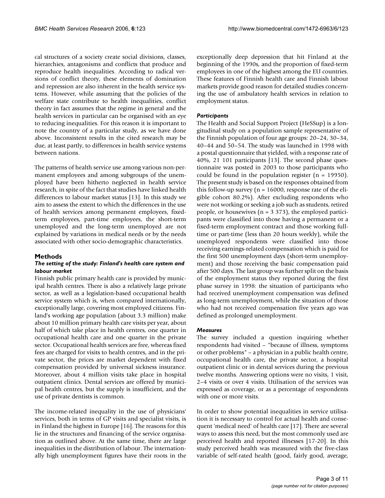cal structures of a society create social divisions, classes, hierarchies, antagonisms and conflicts that produce and reproduce health inequalities. According to radical versions of conflict theory, these elements of domination and repression are also inherent in the health service systems. However, while assuming that the policies of the welfare state contribute to health inequalities, conflict theory in fact assumes that the regime in general and the health services in particular can be organised with an eye to reducing inequalities. For this reason it is important to note the country of a particular study, as we have done above. Inconsistent results in the cited research may be due, at least partly, to differences in health service systems between nations.

The patterns of health service use among various non-permanent employees and among subgroups of the unemployed have been hitherto neglected in health service research, in spite of the fact that studies have linked health differences to labour market status [13]. In this study we aim to assess the extent to which the differences in the use of health services among permanent employees, fixedterm employees, part-time employees, the short-term unemployed and the long-term unemployed are not explained by variations in medical needs or by the needs associated with other socio-demographic characteristics.

### **Methods**

### *The setting of the study: Finland's health care system and labour market*

Finnish public primary health care is provided by municipal health centres. There is also a relatively large private sector, as well as a legislation-based occupational health service system which is, when compared internationally, exceptionally large, covering most employed citizens. Finland's working age population (about 3.3 million) make about 10 million primary health care visits per year, about half of which take place in health centres, one quarter in occupational health care and one quarter in the private sector. Occupational health services are free, whereas fixed fees are charged for visits to health centres, and in the private sector, the prices are market dependent with fixed compensation provided by universal sickness insurance. Moreover, about 4 million visits take place in hospital outpatient clinics. Dental services are offered by municipal health centres, but the supply is insufficient, and the use of private dentists is common.

The income-related inequality in the use of physicians' services, both in terms of GP visits and specialist visits, is in Finland the highest in Europe [16]. The reasons for this lie in the structures and financing of the service organisation as outlined above. At the same time, there are large inequalities in the distribution of labour. The internationally high unemployment figures have their roots in the exceptionally deep depression that hit Finland at the beginning of the 1990s, and the proportion of fixed-term employees in one of the highest among the EU countries. These features of Finnish health care and Finnish labour markets provide good reason for detailed studies concerning the use of ambulatory health services in relation to employment status.

### *Participants*

The Health and Social Support Project (HeSSup) is a longitudinal study on a population sample representative of the Finnish population of four age groups: 20–24, 30–34, 40–44 and 50–54. The study was launched in 1998 with a postal questionnaire that yielded, with a response rate of 40%, 21 101 participants [13]. The second phase questionnaire was posted in 2003 to those participants who could be found in the population register  $(n = 19950)$ . The present study is based on the responses obtained from this follow-up survey ( $n = 16000$ , response rate of the eligible cohort 80.2%). After excluding respondents who were not working or seeking a job such as students, retired people, or housewives  $(n = 3 373)$ , the employed participants were classified into those having a permanent or a fixed-term employment contract and those working fulltime or part-time (less than 20 hours weekly), while the unemployed respondents were classified into those receiving earnings-related compensation which is paid for the first 500 unemployment days (short-term unemployment) and those receiving the basic compensation paid after 500 days. The last group was further split on the basis of the employment status they reported during the first phase survey in 1998: the situation of participants who had received unemployment compensation was defined as long-term unemployment, while the situation of those who had not received compensation five years ago was defined as prolonged unemployment.

### *Measures*

The survey included a question inquiring whether respondents had visited – "because of illness, symptoms or other problems" – a physician in a public health centre, occupational health care, the private sector, a hospital outpatient clinic or in dental services during the previous twelve months. Answering options were no visits, 1 visit, 2–4 visits or over 4 visits. Utilisation of the services was expressed as coverage, or as a percentage of respondents with one or more visits.

In order to show potential inequalities in service utilisation it is necessary to control for actual health and consequent 'medical need' of health care [17]. There are several ways to assess this need, but the most commonly used are perceived health and reported illnesses [17-20]. In this study perceived health was measured with the five-class variable of self-rated health (good, fairly good, average,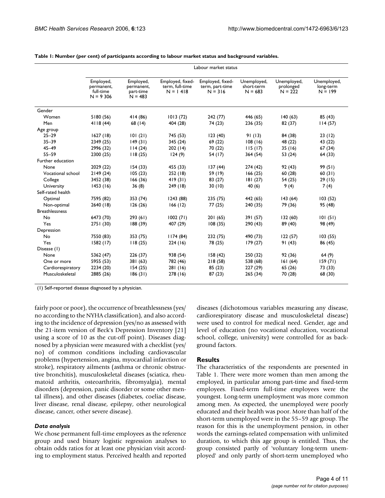|                       | Labour market status                               |                                                   |                                                   |                                                  |                                        |                                       |                                       |  |
|-----------------------|----------------------------------------------------|---------------------------------------------------|---------------------------------------------------|--------------------------------------------------|----------------------------------------|---------------------------------------|---------------------------------------|--|
|                       | Employed,<br>permanent,<br>full-time<br>$N = 9306$ | Employed,<br>permanent,<br>part-time<br>$N = 483$ | Employed, fixed-<br>term, full-time<br>$N = 1418$ | Employed, fixed-<br>term, part-time<br>$N = 316$ | Unemployed,<br>short-term<br>$N = 683$ | Unemployed,<br>prolonged<br>$N = 222$ | Unemployed,<br>long-term<br>$N = 199$ |  |
| Gender                |                                                    |                                                   |                                                   |                                                  |                                        |                                       |                                       |  |
| Women                 | 5180 (56)                                          | 414(86)                                           | 1013(72)                                          | 242 (77)                                         | 446 (65)                               | 140(63)                               | 85 (43)                               |  |
| Men                   | 4118(44)                                           | 68 (14)                                           | 404 (28)                                          | 74 (23)                                          | 236 (35)                               | 82 (37)                               | 114(57)                               |  |
| Age group             |                                                    |                                                   |                                                   |                                                  |                                        |                                       |                                       |  |
| $25 - 29$             | 1627(18)                                           | 101(21)                                           | 745 (53)                                          | 123(40)                                          | 91(13)                                 | 84 (38)                               | 23(12)                                |  |
| $35 - 39$             | 2349 (25)                                          | 149(31)                                           | 345 (24)                                          | 69 (22)                                          | 108(16)                                | 48 (22)                               | 43 (22)                               |  |
| $45 - 49$             | 2996 (32)                                          | 114(24)                                           | 202 (14)                                          | 70 (22)                                          | 115(17)                                | 35(16)                                | 67 (34)                               |  |
| $55 - 59$             | 2300 (25)                                          | 118(25)                                           | 124(9)                                            | 54 (17)                                          | 364 (54)                               | 53 (24)                               | 64 (33)                               |  |
| Further education     |                                                    |                                                   |                                                   |                                                  |                                        |                                       |                                       |  |
| None                  | 2029 (22)                                          | 154(33)                                           | 455 (33)                                          | 137(44)                                          | 274 (42)                               | 92 (43)                               | 99 (51)                               |  |
| Vocational school     | 2149(24)                                           | 105(23)                                           | 252(18)                                           | 59 (19)                                          | 166(25)                                | 60(28)                                | 60(31)                                |  |
| College               | 3452 (38)                                          | 166(36)                                           | 419(31)                                           | 83 (27)                                          | 81(27)                                 | 54 (25)                               | 29(15)                                |  |
| University            | 1453(16)                                           | 36(8)                                             | 249 (18)                                          | 30(10)                                           | 40(6)                                  | 9(4)                                  | 7(4)                                  |  |
| Self-rated health     |                                                    |                                                   |                                                   |                                                  |                                        |                                       |                                       |  |
| Optimal               | 7595 (82)                                          | 353 (74)                                          | 1243 (88)                                         | 235 (75)                                         | 442 (65)                               | 143 (64)                              | 103(52)                               |  |
| Non-optimal           | 2640 (18)                                          | 126(26)                                           | 166(12)                                           | 77 (25)                                          | 240 (35)                               | 79 (36)                               | 95 (48)                               |  |
| <b>Breathlessness</b> |                                                    |                                                   |                                                   |                                                  |                                        |                                       |                                       |  |
| <b>No</b>             | 6473 (70)                                          | 293(61)                                           | 1002(71)                                          | 201(65)                                          | 391 (57)                               | 132 (60)                              | 101(51)                               |  |
| Yes                   | 2751 (30)                                          | 188 (39)                                          | 407 (29)                                          | 108(35)                                          | 290 (43)                               | 89 (40)                               | 98 (49)                               |  |
| Depression            |                                                    |                                                   |                                                   |                                                  |                                        |                                       |                                       |  |
| <b>No</b>             | 7550 (83)                                          | 353 (75)                                          | 1174(84)                                          | 232 (75)                                         | 490 (73)                               | 122(57)                               | 103(55)                               |  |
| Yes                   | 1582(17)                                           | 118(25)                                           | 224(16)                                           | 78 (25)                                          | 179(27)                                | 91(43)                                | 86 (45)                               |  |
| Disease (1)           |                                                    |                                                   |                                                   |                                                  |                                        |                                       |                                       |  |
| None                  | 5362 (47)                                          | 226 (37)                                          | 938 (54)                                          | 158 (42)                                         | 250 (32)                               | 92 (36)                               | 64 (9)                                |  |
| One or more           | 5955 (53)                                          | 381 (63)                                          | 782 (46)                                          | 218(58)                                          | 538 (68)                               | 161(64)                               | 159(71)                               |  |
| Cardiorespiratory     | 2234 (20)                                          | 154(25)                                           | 281 (16)                                          | 85(23)                                           | 227 (29)                               | 65 (26)                               | 73 (33)                               |  |
| Musculoskeletal       | 2885 (26)                                          | 186(31)                                           | 278 (16)                                          | 87(23)                                           | 265(34)                                | 70 (28)                               | 68 (30)                               |  |

**Table 1: Number (per cent) of participants according to labour market status and background variables.**

(1) Self-reported disease diagnosed by a physician.

fairly poor or poor), the occurrence of breathlessness (yes/ no according to the NYHA classification), and also according to the incidence of depression (yes/no as assessed with the 21-item version of Beck's Depression Inventory [21] using a score of 10 as the cut-off point). Diseases diagnosed by a physician were measured with a checklist (yes/ no) of common conditions including cardiovascular problems (hypertension, angina, myocardial infarction or stroke), respiratory ailments (asthma or chronic obstructive bronchitis), musculoskeletal diseases (sciatica, rheumatoid arthritis, osteoarthritis, fibromyalgia), mental disorders (depression, panic disorder or some other mental illness), and other diseases (diabetes, coeliac disease, liver disease, renal disease, epilepsy, other neurological disease, cancer, other severe disease).

### *Data analysis*

We chose permanent full-time employees as the reference group and used binary logistic regression analyses to obtain odds ratios for at least one physician visit according to employment status. Perceived health and reported diseases (dichotomous variables measuring any disease, cardiorespiratory disease and musculoskeletal disease) were used to control for medical need. Gender, age and level of education (no vocational education, vocational school, college, university) were controlled for as background factors.

### **Results**

The characteristics of the respondents are presented in Table 1. There were more women than men among the employed, in particular among part-time and fixed-term employees. Fixed-term full-time employees were the youngest. Long-term unemployment was more common among men. As expected, the unemployed were poorly educated and their health was poor. More than half of the short-term unemployed were in the 55–59 age group. The reason for this is the unemployment pension, in other words the earnings-related compensation with unlimited duration, to which this age group is entitled. Thus, the group consisted partly of 'voluntary long-term unemployed' and only partly of short-term unemployed who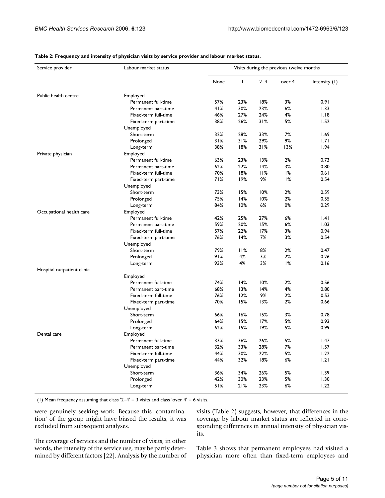| None<br>$2 - 4$<br>$\mathbf{I}$<br>over 4<br>Intensity (1)<br>Public health centre<br>Employed<br>Permanent full-time<br>57%<br>23%<br>18%<br>3%<br>0.91<br>41%<br>30%<br>23%<br>6%<br>1.33<br>Permanent part-time<br>4%<br>46%<br>27%<br>24%<br>1.18<br>Fixed-term full-time<br>5%<br>26%<br>31%<br>Fixed-term part-time<br>38%<br>1.52<br>Unemployed<br>32%<br>28%<br>33%<br>7%<br>1.69<br>Short-term<br>9%<br>31%<br>31%<br>29%<br>1.71<br>Prolonged<br>38%<br>18%<br>31%<br>13%<br>1.94<br>Long-term<br>Employed<br>Private physician<br>Permanent full-time<br>23%<br>13%<br>2%<br>0.73<br>63%<br>22%<br>3%<br>0.80<br>62%<br>14%<br>Permanent part-time<br>70%<br>18%<br>11%<br>1%<br>0.61<br>Fixed-term full-time<br>71%<br>19%<br>9%<br>1%<br>0.54<br>Fixed-term part-time<br>Unemployed<br>2%<br>73%<br>15%<br>10%<br>0.59<br>Short-term<br>75%<br>14%<br>10%<br>2%<br>0.55<br>Prolonged<br>84%<br>10%<br>6%<br>0%<br>0.29<br>Long-term<br>Occupational health care<br>Employed<br>42%<br>25%<br>27%<br>6%<br> .4 <br>Permanent full-time<br>20%<br>59%<br>15%<br>6%<br>1.03<br>Permanent part-time<br>3%<br>57%<br>22%<br>17%<br>0.94<br>Fixed-term full-time<br>7%<br>3%<br>76%<br>14%<br>0.54<br>Fixed-term part-time<br>Unemployed<br>79%<br>11%<br>8%<br>2%<br>0.47<br>Short-term<br>4%<br>2%<br>91%<br>3%<br>0.26<br>Prolonged<br>1%<br>93%<br>4%<br>3%<br>0.16<br>Long-term<br>Hospital outpatient clinic<br>Employed<br>Permanent full-time<br>74%<br>14%<br>10%<br>2%<br>0.56<br>68%<br>13%<br>14%<br>4%<br>0.80<br>Permanent part-time<br>Fixed-term full-time<br>76%<br>12%<br>9%<br>2%<br>0.53<br>70%<br>15%<br>13%<br>2%<br>0.66<br>Fixed-term part-time<br>Unemployed<br>15%<br>3%<br>0.78<br>Short-term<br>66%<br>16%<br>5%<br>64%<br>15%<br>17%<br>0.93<br>Prolonged<br>62%<br>15%<br>19%<br>5%<br>0.99<br>Long-term<br>Dental care<br>Employed<br>33%<br>36%<br>5%<br>1.47<br>26%<br>Permanent full-time<br>33%<br>28%<br>7%<br>32%<br>1.57<br>Permanent part-time<br>$5\%$<br>44%<br>30%<br>22%<br>1.22<br>Fixed-term full-time<br>18%<br>$6\%$<br>1.21<br>Fixed-term part-time<br>44%<br>32%<br>Unemployed<br>Short-term<br>36%<br>34%<br>26%<br>5%<br>1.39<br>42%<br>30%<br>23%<br>5%<br>Prolonged<br>1.30<br>51%<br>21%<br>23%<br>$6\%$<br>1.22<br>Long-term | Service provider | Labour market status | Visits during the previous twelve months |  |  |  |  |
|--------------------------------------------------------------------------------------------------------------------------------------------------------------------------------------------------------------------------------------------------------------------------------------------------------------------------------------------------------------------------------------------------------------------------------------------------------------------------------------------------------------------------------------------------------------------------------------------------------------------------------------------------------------------------------------------------------------------------------------------------------------------------------------------------------------------------------------------------------------------------------------------------------------------------------------------------------------------------------------------------------------------------------------------------------------------------------------------------------------------------------------------------------------------------------------------------------------------------------------------------------------------------------------------------------------------------------------------------------------------------------------------------------------------------------------------------------------------------------------------------------------------------------------------------------------------------------------------------------------------------------------------------------------------------------------------------------------------------------------------------------------------------------------------------------------------------------------------------------------------------------------------------------------------------------------------------------------------------------------------------------------------------------------------------------------------------------------------------------------------------------------------------------------------------------------------------------------------------------------------------------------------------------------------|------------------|----------------------|------------------------------------------|--|--|--|--|
|                                                                                                                                                                                                                                                                                                                                                                                                                                                                                                                                                                                                                                                                                                                                                                                                                                                                                                                                                                                                                                                                                                                                                                                                                                                                                                                                                                                                                                                                                                                                                                                                                                                                                                                                                                                                                                                                                                                                                                                                                                                                                                                                                                                                                                                                                            |                  |                      |                                          |  |  |  |  |
|                                                                                                                                                                                                                                                                                                                                                                                                                                                                                                                                                                                                                                                                                                                                                                                                                                                                                                                                                                                                                                                                                                                                                                                                                                                                                                                                                                                                                                                                                                                                                                                                                                                                                                                                                                                                                                                                                                                                                                                                                                                                                                                                                                                                                                                                                            |                  |                      |                                          |  |  |  |  |
|                                                                                                                                                                                                                                                                                                                                                                                                                                                                                                                                                                                                                                                                                                                                                                                                                                                                                                                                                                                                                                                                                                                                                                                                                                                                                                                                                                                                                                                                                                                                                                                                                                                                                                                                                                                                                                                                                                                                                                                                                                                                                                                                                                                                                                                                                            |                  |                      |                                          |  |  |  |  |
|                                                                                                                                                                                                                                                                                                                                                                                                                                                                                                                                                                                                                                                                                                                                                                                                                                                                                                                                                                                                                                                                                                                                                                                                                                                                                                                                                                                                                                                                                                                                                                                                                                                                                                                                                                                                                                                                                                                                                                                                                                                                                                                                                                                                                                                                                            |                  |                      |                                          |  |  |  |  |
|                                                                                                                                                                                                                                                                                                                                                                                                                                                                                                                                                                                                                                                                                                                                                                                                                                                                                                                                                                                                                                                                                                                                                                                                                                                                                                                                                                                                                                                                                                                                                                                                                                                                                                                                                                                                                                                                                                                                                                                                                                                                                                                                                                                                                                                                                            |                  |                      |                                          |  |  |  |  |
|                                                                                                                                                                                                                                                                                                                                                                                                                                                                                                                                                                                                                                                                                                                                                                                                                                                                                                                                                                                                                                                                                                                                                                                                                                                                                                                                                                                                                                                                                                                                                                                                                                                                                                                                                                                                                                                                                                                                                                                                                                                                                                                                                                                                                                                                                            |                  |                      |                                          |  |  |  |  |
|                                                                                                                                                                                                                                                                                                                                                                                                                                                                                                                                                                                                                                                                                                                                                                                                                                                                                                                                                                                                                                                                                                                                                                                                                                                                                                                                                                                                                                                                                                                                                                                                                                                                                                                                                                                                                                                                                                                                                                                                                                                                                                                                                                                                                                                                                            |                  |                      |                                          |  |  |  |  |
|                                                                                                                                                                                                                                                                                                                                                                                                                                                                                                                                                                                                                                                                                                                                                                                                                                                                                                                                                                                                                                                                                                                                                                                                                                                                                                                                                                                                                                                                                                                                                                                                                                                                                                                                                                                                                                                                                                                                                                                                                                                                                                                                                                                                                                                                                            |                  |                      |                                          |  |  |  |  |
|                                                                                                                                                                                                                                                                                                                                                                                                                                                                                                                                                                                                                                                                                                                                                                                                                                                                                                                                                                                                                                                                                                                                                                                                                                                                                                                                                                                                                                                                                                                                                                                                                                                                                                                                                                                                                                                                                                                                                                                                                                                                                                                                                                                                                                                                                            |                  |                      |                                          |  |  |  |  |
|                                                                                                                                                                                                                                                                                                                                                                                                                                                                                                                                                                                                                                                                                                                                                                                                                                                                                                                                                                                                                                                                                                                                                                                                                                                                                                                                                                                                                                                                                                                                                                                                                                                                                                                                                                                                                                                                                                                                                                                                                                                                                                                                                                                                                                                                                            |                  |                      |                                          |  |  |  |  |
|                                                                                                                                                                                                                                                                                                                                                                                                                                                                                                                                                                                                                                                                                                                                                                                                                                                                                                                                                                                                                                                                                                                                                                                                                                                                                                                                                                                                                                                                                                                                                                                                                                                                                                                                                                                                                                                                                                                                                                                                                                                                                                                                                                                                                                                                                            |                  |                      |                                          |  |  |  |  |
|                                                                                                                                                                                                                                                                                                                                                                                                                                                                                                                                                                                                                                                                                                                                                                                                                                                                                                                                                                                                                                                                                                                                                                                                                                                                                                                                                                                                                                                                                                                                                                                                                                                                                                                                                                                                                                                                                                                                                                                                                                                                                                                                                                                                                                                                                            |                  |                      |                                          |  |  |  |  |
|                                                                                                                                                                                                                                                                                                                                                                                                                                                                                                                                                                                                                                                                                                                                                                                                                                                                                                                                                                                                                                                                                                                                                                                                                                                                                                                                                                                                                                                                                                                                                                                                                                                                                                                                                                                                                                                                                                                                                                                                                                                                                                                                                                                                                                                                                            |                  |                      |                                          |  |  |  |  |
|                                                                                                                                                                                                                                                                                                                                                                                                                                                                                                                                                                                                                                                                                                                                                                                                                                                                                                                                                                                                                                                                                                                                                                                                                                                                                                                                                                                                                                                                                                                                                                                                                                                                                                                                                                                                                                                                                                                                                                                                                                                                                                                                                                                                                                                                                            |                  |                      |                                          |  |  |  |  |
|                                                                                                                                                                                                                                                                                                                                                                                                                                                                                                                                                                                                                                                                                                                                                                                                                                                                                                                                                                                                                                                                                                                                                                                                                                                                                                                                                                                                                                                                                                                                                                                                                                                                                                                                                                                                                                                                                                                                                                                                                                                                                                                                                                                                                                                                                            |                  |                      |                                          |  |  |  |  |
|                                                                                                                                                                                                                                                                                                                                                                                                                                                                                                                                                                                                                                                                                                                                                                                                                                                                                                                                                                                                                                                                                                                                                                                                                                                                                                                                                                                                                                                                                                                                                                                                                                                                                                                                                                                                                                                                                                                                                                                                                                                                                                                                                                                                                                                                                            |                  |                      |                                          |  |  |  |  |
|                                                                                                                                                                                                                                                                                                                                                                                                                                                                                                                                                                                                                                                                                                                                                                                                                                                                                                                                                                                                                                                                                                                                                                                                                                                                                                                                                                                                                                                                                                                                                                                                                                                                                                                                                                                                                                                                                                                                                                                                                                                                                                                                                                                                                                                                                            |                  |                      |                                          |  |  |  |  |
|                                                                                                                                                                                                                                                                                                                                                                                                                                                                                                                                                                                                                                                                                                                                                                                                                                                                                                                                                                                                                                                                                                                                                                                                                                                                                                                                                                                                                                                                                                                                                                                                                                                                                                                                                                                                                                                                                                                                                                                                                                                                                                                                                                                                                                                                                            |                  |                      |                                          |  |  |  |  |
|                                                                                                                                                                                                                                                                                                                                                                                                                                                                                                                                                                                                                                                                                                                                                                                                                                                                                                                                                                                                                                                                                                                                                                                                                                                                                                                                                                                                                                                                                                                                                                                                                                                                                                                                                                                                                                                                                                                                                                                                                                                                                                                                                                                                                                                                                            |                  |                      |                                          |  |  |  |  |
|                                                                                                                                                                                                                                                                                                                                                                                                                                                                                                                                                                                                                                                                                                                                                                                                                                                                                                                                                                                                                                                                                                                                                                                                                                                                                                                                                                                                                                                                                                                                                                                                                                                                                                                                                                                                                                                                                                                                                                                                                                                                                                                                                                                                                                                                                            |                  |                      |                                          |  |  |  |  |
|                                                                                                                                                                                                                                                                                                                                                                                                                                                                                                                                                                                                                                                                                                                                                                                                                                                                                                                                                                                                                                                                                                                                                                                                                                                                                                                                                                                                                                                                                                                                                                                                                                                                                                                                                                                                                                                                                                                                                                                                                                                                                                                                                                                                                                                                                            |                  |                      |                                          |  |  |  |  |
|                                                                                                                                                                                                                                                                                                                                                                                                                                                                                                                                                                                                                                                                                                                                                                                                                                                                                                                                                                                                                                                                                                                                                                                                                                                                                                                                                                                                                                                                                                                                                                                                                                                                                                                                                                                                                                                                                                                                                                                                                                                                                                                                                                                                                                                                                            |                  |                      |                                          |  |  |  |  |
|                                                                                                                                                                                                                                                                                                                                                                                                                                                                                                                                                                                                                                                                                                                                                                                                                                                                                                                                                                                                                                                                                                                                                                                                                                                                                                                                                                                                                                                                                                                                                                                                                                                                                                                                                                                                                                                                                                                                                                                                                                                                                                                                                                                                                                                                                            |                  |                      |                                          |  |  |  |  |
|                                                                                                                                                                                                                                                                                                                                                                                                                                                                                                                                                                                                                                                                                                                                                                                                                                                                                                                                                                                                                                                                                                                                                                                                                                                                                                                                                                                                                                                                                                                                                                                                                                                                                                                                                                                                                                                                                                                                                                                                                                                                                                                                                                                                                                                                                            |                  |                      |                                          |  |  |  |  |
|                                                                                                                                                                                                                                                                                                                                                                                                                                                                                                                                                                                                                                                                                                                                                                                                                                                                                                                                                                                                                                                                                                                                                                                                                                                                                                                                                                                                                                                                                                                                                                                                                                                                                                                                                                                                                                                                                                                                                                                                                                                                                                                                                                                                                                                                                            |                  |                      |                                          |  |  |  |  |
|                                                                                                                                                                                                                                                                                                                                                                                                                                                                                                                                                                                                                                                                                                                                                                                                                                                                                                                                                                                                                                                                                                                                                                                                                                                                                                                                                                                                                                                                                                                                                                                                                                                                                                                                                                                                                                                                                                                                                                                                                                                                                                                                                                                                                                                                                            |                  |                      |                                          |  |  |  |  |
|                                                                                                                                                                                                                                                                                                                                                                                                                                                                                                                                                                                                                                                                                                                                                                                                                                                                                                                                                                                                                                                                                                                                                                                                                                                                                                                                                                                                                                                                                                                                                                                                                                                                                                                                                                                                                                                                                                                                                                                                                                                                                                                                                                                                                                                                                            |                  |                      |                                          |  |  |  |  |
|                                                                                                                                                                                                                                                                                                                                                                                                                                                                                                                                                                                                                                                                                                                                                                                                                                                                                                                                                                                                                                                                                                                                                                                                                                                                                                                                                                                                                                                                                                                                                                                                                                                                                                                                                                                                                                                                                                                                                                                                                                                                                                                                                                                                                                                                                            |                  |                      |                                          |  |  |  |  |
|                                                                                                                                                                                                                                                                                                                                                                                                                                                                                                                                                                                                                                                                                                                                                                                                                                                                                                                                                                                                                                                                                                                                                                                                                                                                                                                                                                                                                                                                                                                                                                                                                                                                                                                                                                                                                                                                                                                                                                                                                                                                                                                                                                                                                                                                                            |                  |                      |                                          |  |  |  |  |
|                                                                                                                                                                                                                                                                                                                                                                                                                                                                                                                                                                                                                                                                                                                                                                                                                                                                                                                                                                                                                                                                                                                                                                                                                                                                                                                                                                                                                                                                                                                                                                                                                                                                                                                                                                                                                                                                                                                                                                                                                                                                                                                                                                                                                                                                                            |                  |                      |                                          |  |  |  |  |
|                                                                                                                                                                                                                                                                                                                                                                                                                                                                                                                                                                                                                                                                                                                                                                                                                                                                                                                                                                                                                                                                                                                                                                                                                                                                                                                                                                                                                                                                                                                                                                                                                                                                                                                                                                                                                                                                                                                                                                                                                                                                                                                                                                                                                                                                                            |                  |                      |                                          |  |  |  |  |
|                                                                                                                                                                                                                                                                                                                                                                                                                                                                                                                                                                                                                                                                                                                                                                                                                                                                                                                                                                                                                                                                                                                                                                                                                                                                                                                                                                                                                                                                                                                                                                                                                                                                                                                                                                                                                                                                                                                                                                                                                                                                                                                                                                                                                                                                                            |                  |                      |                                          |  |  |  |  |
|                                                                                                                                                                                                                                                                                                                                                                                                                                                                                                                                                                                                                                                                                                                                                                                                                                                                                                                                                                                                                                                                                                                                                                                                                                                                                                                                                                                                                                                                                                                                                                                                                                                                                                                                                                                                                                                                                                                                                                                                                                                                                                                                                                                                                                                                                            |                  |                      |                                          |  |  |  |  |
|                                                                                                                                                                                                                                                                                                                                                                                                                                                                                                                                                                                                                                                                                                                                                                                                                                                                                                                                                                                                                                                                                                                                                                                                                                                                                                                                                                                                                                                                                                                                                                                                                                                                                                                                                                                                                                                                                                                                                                                                                                                                                                                                                                                                                                                                                            |                  |                      |                                          |  |  |  |  |
|                                                                                                                                                                                                                                                                                                                                                                                                                                                                                                                                                                                                                                                                                                                                                                                                                                                                                                                                                                                                                                                                                                                                                                                                                                                                                                                                                                                                                                                                                                                                                                                                                                                                                                                                                                                                                                                                                                                                                                                                                                                                                                                                                                                                                                                                                            |                  |                      |                                          |  |  |  |  |
|                                                                                                                                                                                                                                                                                                                                                                                                                                                                                                                                                                                                                                                                                                                                                                                                                                                                                                                                                                                                                                                                                                                                                                                                                                                                                                                                                                                                                                                                                                                                                                                                                                                                                                                                                                                                                                                                                                                                                                                                                                                                                                                                                                                                                                                                                            |                  |                      |                                          |  |  |  |  |
|                                                                                                                                                                                                                                                                                                                                                                                                                                                                                                                                                                                                                                                                                                                                                                                                                                                                                                                                                                                                                                                                                                                                                                                                                                                                                                                                                                                                                                                                                                                                                                                                                                                                                                                                                                                                                                                                                                                                                                                                                                                                                                                                                                                                                                                                                            |                  |                      |                                          |  |  |  |  |
|                                                                                                                                                                                                                                                                                                                                                                                                                                                                                                                                                                                                                                                                                                                                                                                                                                                                                                                                                                                                                                                                                                                                                                                                                                                                                                                                                                                                                                                                                                                                                                                                                                                                                                                                                                                                                                                                                                                                                                                                                                                                                                                                                                                                                                                                                            |                  |                      |                                          |  |  |  |  |
|                                                                                                                                                                                                                                                                                                                                                                                                                                                                                                                                                                                                                                                                                                                                                                                                                                                                                                                                                                                                                                                                                                                                                                                                                                                                                                                                                                                                                                                                                                                                                                                                                                                                                                                                                                                                                                                                                                                                                                                                                                                                                                                                                                                                                                                                                            |                  |                      |                                          |  |  |  |  |
|                                                                                                                                                                                                                                                                                                                                                                                                                                                                                                                                                                                                                                                                                                                                                                                                                                                                                                                                                                                                                                                                                                                                                                                                                                                                                                                                                                                                                                                                                                                                                                                                                                                                                                                                                                                                                                                                                                                                                                                                                                                                                                                                                                                                                                                                                            |                  |                      |                                          |  |  |  |  |
|                                                                                                                                                                                                                                                                                                                                                                                                                                                                                                                                                                                                                                                                                                                                                                                                                                                                                                                                                                                                                                                                                                                                                                                                                                                                                                                                                                                                                                                                                                                                                                                                                                                                                                                                                                                                                                                                                                                                                                                                                                                                                                                                                                                                                                                                                            |                  |                      |                                          |  |  |  |  |
|                                                                                                                                                                                                                                                                                                                                                                                                                                                                                                                                                                                                                                                                                                                                                                                                                                                                                                                                                                                                                                                                                                                                                                                                                                                                                                                                                                                                                                                                                                                                                                                                                                                                                                                                                                                                                                                                                                                                                                                                                                                                                                                                                                                                                                                                                            |                  |                      |                                          |  |  |  |  |
|                                                                                                                                                                                                                                                                                                                                                                                                                                                                                                                                                                                                                                                                                                                                                                                                                                                                                                                                                                                                                                                                                                                                                                                                                                                                                                                                                                                                                                                                                                                                                                                                                                                                                                                                                                                                                                                                                                                                                                                                                                                                                                                                                                                                                                                                                            |                  |                      |                                          |  |  |  |  |
|                                                                                                                                                                                                                                                                                                                                                                                                                                                                                                                                                                                                                                                                                                                                                                                                                                                                                                                                                                                                                                                                                                                                                                                                                                                                                                                                                                                                                                                                                                                                                                                                                                                                                                                                                                                                                                                                                                                                                                                                                                                                                                                                                                                                                                                                                            |                  |                      |                                          |  |  |  |  |
|                                                                                                                                                                                                                                                                                                                                                                                                                                                                                                                                                                                                                                                                                                                                                                                                                                                                                                                                                                                                                                                                                                                                                                                                                                                                                                                                                                                                                                                                                                                                                                                                                                                                                                                                                                                                                                                                                                                                                                                                                                                                                                                                                                                                                                                                                            |                  |                      |                                          |  |  |  |  |
|                                                                                                                                                                                                                                                                                                                                                                                                                                                                                                                                                                                                                                                                                                                                                                                                                                                                                                                                                                                                                                                                                                                                                                                                                                                                                                                                                                                                                                                                                                                                                                                                                                                                                                                                                                                                                                                                                                                                                                                                                                                                                                                                                                                                                                                                                            |                  |                      |                                          |  |  |  |  |
|                                                                                                                                                                                                                                                                                                                                                                                                                                                                                                                                                                                                                                                                                                                                                                                                                                                                                                                                                                                                                                                                                                                                                                                                                                                                                                                                                                                                                                                                                                                                                                                                                                                                                                                                                                                                                                                                                                                                                                                                                                                                                                                                                                                                                                                                                            |                  |                      |                                          |  |  |  |  |

**Table 2: Frequency and intensity of physician visits by service provider and labour market status.**

(1) Mean frequency assuming that class  $2-4' = 3$  visits and class 'over  $4' = 6$  visits.

were genuinely seeking work. Because this 'contamination' of the group might have biased the results, it was excluded from subsequent analyses.

The coverage of services and the number of visits, in other words, the intensity of the service use, may be partly determined by different factors [22]. Analysis by the number of visits (Table 2) suggests, however, that differences in the coverage by labour market status are reflected in corresponding differences in annual intensity of physician visits.

Table 3 shows that permanent employees had visited a physician more often than fixed-term employees and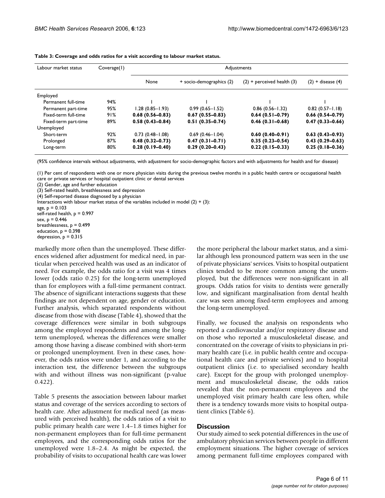| Labour market status | Coverage(1) | Adjustments         |                          |                                |                       |  |  |
|----------------------|-------------|---------------------|--------------------------|--------------------------------|-----------------------|--|--|
|                      |             | None                | + socio-demographics (2) | $(2)$ + perceived health $(3)$ | $(2)$ + disease $(4)$ |  |  |
| Employed             |             |                     |                          |                                |                       |  |  |
| Permanent full-time  | 94%         |                     |                          |                                |                       |  |  |
| Permanent part-time  | 95%         | $1.28(0.85 - 1.93)$ | $0.99(0.65 - 1.52)$      | $0.86(0.56 - 1.32)$            | $0.82(0.57 - 1.18)$   |  |  |
| Fixed-term full-time | 91%         | $0.68(0.56 - 0.83)$ | $0.67(0.55 - 0.83)$      | $0.64(0.51 - 0.79)$            | $0.66(0.54 - 0.79)$   |  |  |
| Fixed-term part-time | 89%         | $0.58(0.43 - 0.84)$ | $0.51(0.35 - 0.74)$      | $0.46(0.31 - 0.68)$            | $0.47(0.33 - 0.66)$   |  |  |
| Unemployed           |             |                     |                          |                                |                       |  |  |
| Short-term           | 92%         | $0.73(0.48 - 1.08)$ | $0.69(0.46 - 1.04)$      | $0.60(0.40-0.91)$              | $0.63(0.43 - 0.93)$   |  |  |
| Prolonged            | 87%         | $0.48(0.32 - 0.73)$ | $0.47(0.31 - 0.71)$      | $0.35(0.23 - 0.54)$            | $0.43(0.29 - 0.63)$   |  |  |
| Long-term            | 80%         | $0.28(0.19 - 0.40)$ | $0.29(0.20 - 0.43)$      | $0.22(0.15-0.33)$              | $0.25(0.18-0.36)$     |  |  |

**Table 3: Coverage and odds ratios for a visit according to labour market status.**

(95% confidence intervals without adjustments, with adjustment for socio-demographic factors and with adjustments for health and for disease)

(1) Per cent of respondents with one or more physician visits during the previous twelve months in a public health centre or occupational health care or private services or hospital outpatient clinic or dental services

(2) Gender, age and further education

(3) Self-rated health, breathlessness and depression

(4) Self-reported disease diagnosed by a physician

Interactions with labour market status of the variables included in model  $(2) + (3)$ :

age, p = 0.103

self-rated health, p = 0.997 sex,  $p = 0.446$ breathlessness,  $p = 0.499$ 

education,  $p = 0.398$ 

depression,  $p = 0.315$ 

markedly more often than the unemployed. These differences widened after adjustment for medical need, in particular when perceived health was used as an indicator of need. For example, the odds ratio for a visit was 4 times lower (odds ratio 0.25) for the long-term unemployed than for employees with a full-time permanent contract. The absence of significant interactions suggests that these findings are not dependent on age, gender or education. Further analysis, which separated respondents without disease from those with disease (Table 4), showed that the coverage differences were similar in both subgroups among the employed respondents and among the longterm unemployed, whereas the differences were smaller among those having a disease combined with short-term or prolonged unemployment. Even in these cases, however, the odds ratios were under 1, and according to the interaction test, the difference between the subgroups with and without illness was non-significant (p-value 0.422).

Table 5 presents the association between labour market status and coverage of the services according to sectors of health care. After adjustment for medical need (as measured with perceived health), the odds ratios of a visit to public primary health care were 1.4–1.8 times higher for non-permanent employees than for full-time permanent employees, and the corresponding odds ratios for the unemployed were 1.8–2.4. As might be expected, the probability of visits to occupational health care was lower the more peripheral the labour market status, and a similar although less pronounced pattern was seen in the use of private physicians' services. Visits to hospital outpatient clinics tended to be more common among the unemployed, but the differences were non-significant in all groups. Odds ratios for visits to dentists were generally low, and significant marginalisation from dental health care was seen among fixed-term employees and among the long-term unemployed.

Finally, we focused the analysis on respondents who reported a cardiovascular and/or respiratory disease and on those who reported a musculoskeletal disease, and concentrated on the coverage of visits to physicians in primary health care (i.e. in public health centre and occupational health care and private services) and to hospital outpatient clinics (i.e. to specialised secondary health care). Except for the group with prolonged unemployment and musculoskeletal disease, the odds ratios revealed that the non-permanent employees and the unemployed visit primary health care less often, while there is a tendency towards more visits to hospital outpatient clinics (Table 6).

### **Discussion**

Our study aimed to seek potential differences in the use of ambulatory physician services between people in different employment situations. The higher coverage of services among permanent full-time employees compared with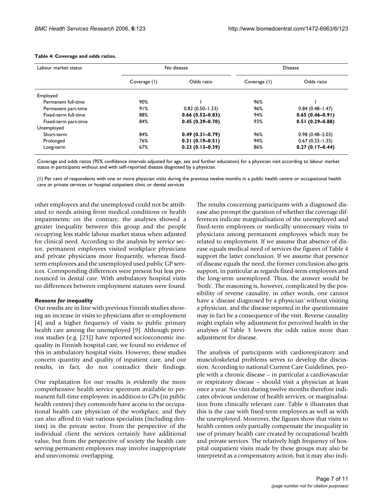| Labour market status |              | No disease          | <b>Disease</b> |                     |  |
|----------------------|--------------|---------------------|----------------|---------------------|--|
|                      | Coverage (1) | Odds ratio          | Coverage (1)   | Odds ratio          |  |
| Employed             |              |                     |                |                     |  |
| Permanent full-time  | 90%          |                     | 96%            |                     |  |
| Permanent part-time  | 91%          | $0.82(0.50 - 1.33)$ | 96%            | $0.84(0.48 - 1.47)$ |  |
| Fixed-term full-time | 88%          | $0.66(0.52 - 0.83)$ | 94%            | $0.65(0.46 - 0.91)$ |  |
| Fixed-term part-time | 84%          | $0.45(0.29 - 0.70)$ | 93%            | $0.51(0.29 - 0.88)$ |  |
| Unemployed           |              |                     |                |                     |  |
| Short-term           | 84%          | $0.49(0.31 - 0.79)$ | 96%            | $0.98(0.48 - 2.03)$ |  |
| Prolonged            | 76%          | $0.31(0.19-0.51)$   | 94%            | $0.67(0.33 - 1.35)$ |  |
| Long-term            | 67%          | $0.23(0.13 - 0.39)$ | 86%            | $0.27(0.17-0.44)$   |  |

#### **Table 4: Coverage and odds ratios.**

Coverage and odds ratios (95% confidence intervals adjusted for age, sex and further education) for a physician visit according to labour market status in participants without and with self-reported disease diagnosed by a physician.

(1) Per cent of respondents with one or more physician visits during the previous twelve months in a public health centre or occupational health care or private services or hospital outpatient clinic or dental services

other employees and the unemployed could not be attributed to needs arising from medical conditions or health impairments; on the contrary, the analyses showed a greater inequality between this group and the people occupying less stable labour market status when adjusted for clinical need. According to the analysis by service sector, permanent employees visited workplace physicians and private physicians more frequently, whereas fixedterm employees and the unemployed used public GP services. Corresponding differences were present but less pronounced in dental care. With ambulatory hospital visits no differences between employment statuses were found.

#### *Reasons for inequality*

Our results are in line with previous Finnish studies showing an increase in visits to physicians after re-employment [4] and a higher frequency of visits to public primary health care among the unemployed [9]. Although previous studies (e.g. [23]) have reported socioeconomic inequality in Finnish hospital care, we found no evidence of this in ambulatory hospital visits. However, these studies concern quantity and quality of inpatient care, and our results, in fact, do not contradict their findings.

One explanation for our results is evidently the more comprehensive health service spectrum available to permanent full-time employees: in addition to GPs (in public health centres) they commonly have access to the occupational health care physician of the workplace, and they can also afford to visit various specialists (including dentists) in the private sector. From the perspective of the individual client the services certainly have additional value, but from the perspective of society the health care serving permanent employees may involve inappropriate and uneconomic overlapping.

The results concerning participants with a diagnosed disease also prompt the question of whether the coverage differences indicate marginalisation of the unemployed and fixed-term employees or medically unnecessary visits to physicians among permanent employees which may be related to employment. If we assume that absence of disease equals medical need of services the figures of Table 4 support the latter conclusion. If we assume that presence of disease equals the need, the former conclusion also gets support, in particular as regards fixed-term employees and the long-term unemployed. Thus, the answer would be 'both'. The reasoning is, however, complicated by the possibility of reverse causality, in other words, one cannot have a 'disease diagnosed by a physician' without visiting a physician, and the disease reported in the questionnaire may in fact be a consequence of the visit. Reverse causality might explain why adjustment for perceived health in the analyses of Table 3 lowers the odds ratios more than adjustment for disease.

The analysis of participants with cardiorespiratory and musculoskeletal problems serves to develop the discussion. According to national Current Care Guidelines, people with a chronic disease – in particular a cardiovascular or respiratory disease – should visit a physician at least once a year. No visit during twelve months therefore indicates obvious underuse of health services, or marginalisation from clinically relevant care. Table 6 illustrates that this is the case with fixed-term employees as well as with the unemployed. Moreover, the figures show that visits to health centres only partially compensate the inequality in use of primary health care created by occupational health and private services. The relatively high frequency of hospital outpatient visits made by these groups may also be interpreted as a compensatory action, but it may also indi-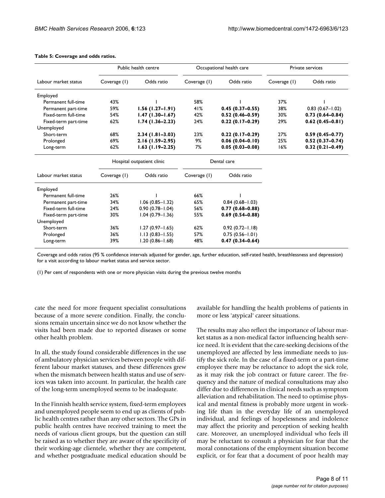|                      |              | Public health centre       |              | Occupational health care | Private services |                     |  |
|----------------------|--------------|----------------------------|--------------|--------------------------|------------------|---------------------|--|
| Labour market status | Coverage (1) | Odds ratio                 | Coverage (1) | Odds ratio               | Coverage (1)     | Odds ratio          |  |
| Employed             |              |                            |              |                          |                  |                     |  |
| Permanent full-time  | 43%          |                            | 58%          |                          | 37%              |                     |  |
| Permanent part-time  | 59%          | $1.56(1.27 - 1.91)$        | 41%          | $0.45(0.37-0.55)$        | 38%              | $0.83(0.67 - 1.02)$ |  |
| Fixed-term full-time | 54%          | $1.47(1.30 - 1.67)$        | 42%          | $0.52(0.46 - 0.59)$      | 30%              | $0.73(0.64 - 0.84)$ |  |
| Fixed-term part-time | 62%          | $1.74(1.36 - 2.23)$        | 24%          | $0.22(0.17-0.29)$        | 29%              | $0.62(0.45 - 0.81)$ |  |
| Unemployed           |              |                            |              |                          |                  |                     |  |
| Short-term           | 68%          | $2.34(1.81 - 3.03)$        | 23%          | $0.22(0.17-0.29)$        | 27%              | $0.59(0.45 - 0.77)$ |  |
| Prolonged            | 69%          | $2.16(1.59 - 2.95)$        | 9%           | $0.06(0.04 - 0.10)$      | 25%              | $0.52(0.37 - 0.74)$ |  |
| Long-term            | 62%          | $1.63$ (1.19-2.25)         | 7%           | $0.05(0.03 - 0.08)$      | 16%              | $0.32(0.21 - 0.49)$ |  |
|                      |              | Hospital outpatient clinic | Dental care  |                          |                  |                     |  |
| Labour market status | Coverage (1) | Odds ratio                 | Coverage (1) | Odds ratio               |                  |                     |  |
| Employed             |              |                            |              |                          |                  |                     |  |
| Permanent full-time  | 26%          |                            | 66%          |                          |                  |                     |  |
| Permanent part-time  | 34%          | $1.06(0.85 - 1.32)$        | 65%          | $0.84(0.68 - 1.03)$      |                  |                     |  |
| Fixed-term full-time | 24%          | $0.90(0.78 - 1.04)$        | 56%          | $0.77(0.68 - 0.88)$      |                  |                     |  |
| Fixed-term part-time | 30%          | $1.04(0.79 - 1.36)$        | 55%          | $0.69(0.54 - 0.88)$      |                  |                     |  |
| Unemployed           |              |                            |              |                          |                  |                     |  |
| Short-term           | 36%          | $1.27(0.97 - 1.65)$        | 62%          | $0.92(0.72 - 1.18)$      |                  |                     |  |
| Prolonged            | 36%          | $1.13(0.83 - 1.55)$        | 57%          | $0.75(0.56 - 1.01)$      |                  |                     |  |
| Long-term            | 39%          | $1.20(0.86 - 1.68)$        | 48%          | $0.47(0.34 - 0.64)$      |                  |                     |  |

#### **Table 5: Coverage and odds ratios.**

Coverage and odds ratios (95 % confidence intervals adjusted for gender, age, further education, self-rated health, breathlessness and depression) for a visit according to labour market status and service sector.

(1) Per cent of respondents with one or more physician visits during the previous twelve months

cate the need for more frequent specialist consultations because of a more severe condition. Finally, the conclusions remain uncertain since we do not know whether the visits had been made due to reported diseases or some other health problem.

In all, the study found considerable differences in the use of ambulatory physician services between people with different labour market statuses, and these differences grew when the mismatch between health status and use of services was taken into account. In particular, the health care of the long-term unemployed seems to be inadequate.

In the Finnish health service system, fixed-term employees and unemployed people seem to end up as clients of public health centres rather than any other sectors. The GPs in public health centres have received training to meet the needs of various client groups, but the question can still be raised as to whether they are aware of the specificity of their working-age clientele, whether they are competent, and whether postgraduate medical education should be available for handling the health problems of patients in more or less 'atypical' career situations.

The results may also reflect the importance of labour market status as a non-medical factor influencing health service need. It is evident that the care-seeking decisions of the unemployed are affected by less immediate needs to justify the sick role. In the case of a fixed-term or a part-time employee there may be reluctance to adopt the sick role, as it may risk the job contract or future career. The frequency and the nature of medical consultations may also differ due to differences in clinical needs such as symptom alleviation and rehabilitation. The need to optimise physical and mental fitness is probably more urgent in working life than in the everyday life of an unemployed individual, and feelings of hopelessness and indolence may affect the priority and perception of seeking health care. Moreover, an unemployed individual who feels ill may be reluctant to consult a physician for fear that the moral connotations of the employment situation become explicit, or for fear that a document of poor health may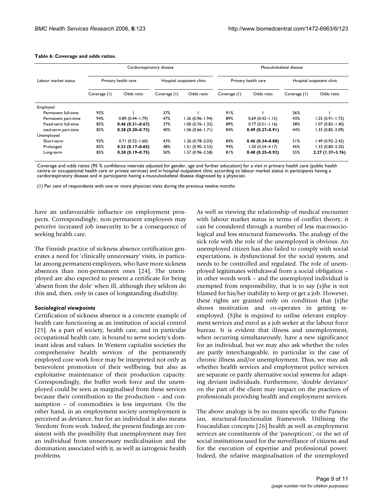|                      |                     | Cardiorespiratory disease |                            |                     | Musculoskeletal disease |                     |                            |                     |
|----------------------|---------------------|---------------------------|----------------------------|---------------------|-------------------------|---------------------|----------------------------|---------------------|
| Labour market status | Primary health care |                           | Hospital outpatient clinic |                     | Primary health care     |                     | Hospital outpatient clinic |                     |
|                      | Coverage (1)        | Odds ratio                | Coverage (1)               | Odds ratio          | Coverage (1)            | Odds ratio          | Coverage (1)               | Odds ratio          |
| Employed             |                     |                           |                            |                     |                         |                     |                            |                     |
| Permanent full-time  | 93%                 |                           | 37%                        |                     | 91%                     |                     | 36%                        |                     |
| Permanent part-time  | 94%                 | $0.89(0.44 - 1.79)$       | 47%                        | $1.36(0.96 - 1.94)$ | 89%                     | $0.69(0.42 - 1.15)$ | 43%                        | $1.25(0.91 - 1.72)$ |
| Fixed-term full-time | 85%                 | $0.46(0.31 - 0.67)$       | 37%                        | $1.00(0.76 - 1.32)$ | 89%                     | $0.77(0.51 - 1.16)$ | 38%                        | $1.07(0.82 - 1.40)$ |
| ixed-term part-time  | 85%                 | $0.38(0.20 - 0.73)$       | 40%                        | $1.06(0.66 - 1.71)$ | 84%                     | $0.49(0.27 - 0.91)$ | 44%                        | $1.33(0.85 - 2.09)$ |
| Unemployed           |                     |                           |                            |                     |                         |                     |                            |                     |
| Short-term           | 92%                 | $0.71(0.32 - 1.60)$       | 43%                        | 1.26 (0.78-2.03)    | 84%                     | $0.46(0.34 - 0.88)$ | 51%                        | $1.49(0.92 - 2.42)$ |
| Prolonged            | 83%                 | $0.33(0.17-0.65)$         | 48%                        | $1.51(0.90 - 2.53)$ | 94%                     | $1.50(0.54 - 4.17)$ | 45%                        | $1.33(0.80 - 2.20)$ |
| Long-term            | 85%                 | $0.38(0.19 - 0.75)$       | 50%                        | 1.57 (0.96-2.58)    | 81%                     | $0.48(0.25 - 0.92)$ | 55%                        | $2.27(1.37-3.76)$   |

### **Table 6: Coverage and odds ratios.**

Coverage and odds ratios (95 % confidence intervals adjusted for gender, age and further education) for a visit in primary health care (public health centre or occupational health care or private services) and in hospital outpatient clinic according to labour market status in participants having a cardiorespiratory disease and in participants having a musculoskeletal disease diagnosed by a physician.

(1) Per cent of respondents with one or more physician visits during the previous twelve months

have an unfavourable influence on employment prospects. Correspondingly, non-permanent employees may perceive increased job insecurity to be a consequence of seeking health care.

The Finnish practice of sickness absence certification generates a need for 'clinically unnecessary' visits, in particular among permanent employees, who have more sickness absences than non-permanent ones [24]. The unemployed are also expected to present a certificate for being 'absent from the dole' when ill, although they seldom do this and, then, only in cases of longstanding disability.

#### *Sociological viewpoints*

Certification of sickness absence is a concrete example of health care functioning as an institution of social control [25]. As a part of society, health care, and in particular occupational health care, is bound to serve society's dominant ideas and values. In Western capitalist societies the comprehensive health services of the permanently employed core work force may be interpreted not only as benevolent promotion of their wellbeing, but also as exploitative maintenance of their production capacity. Correspondingly, the buffer work force and the unemployed could be seen as marginalised from these services because their contribution to the production – and consumption – of commodities is less important. On the other hand, in an employment society unemployment is perceived as deviance, but for an individual it also means 'freedom' from work. Indeed, the present findings are consistent with the possibility that unemployment may free an individual from unnecessary medicalisation and the domination associated with it, as well as iatrogenic health problems.

As well as viewing the relationship of medical encounter with labour market status in terms of conflict theory, it can be considered through a number of less macrosociological and less structural frameworks. The analogy of the sick role with the role of the unemployed is obvious. An unemployed citizen has also failed to comply with social expectations, is dysfunctional for the social system, and needs to be controlled and regulated. The role of unemployed legitimates withdrawal from a social obligation – in other words work – and the unemployed individual is exempted from responsibility, that is to say (s)he is not blamed for his/her inability to keep or get a job. However, these rights are granted only on condition that (s)he shows motivation and co-operates in getting reemployed. (S)he is required to utilise relevant employment services and enrol as a job seeker at the labour force bureau. It is evident that illness and unemployment, when occurring simultaneously, have a new significance for an individual, but we may also ask whether the roles are partly interchangeable, in particular in the case of chronic illness and/or unemployment. Thus, we may ask whether health services and employment policy services are separate or partly alternative social systems for adapting deviant individuals. Furthermore, 'double deviance' on the part of the client may impact on the practices of professionals providing health and employment services.

The above analogy is by no means specific to the Parsonian, structural-functionalist framework. Utilising the Foucauldian concepts [26] health as well as employment services are constituents of the 'panopticon', or the set of social institutions used for the surveillance of citizens and for the execution of expertise and professional power. Indeed, the relative marginalisation of the unemployed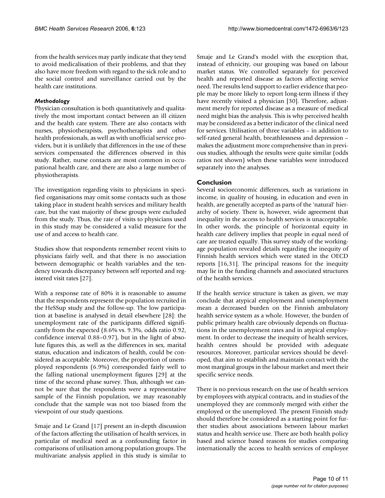from the health services may partly indicate that they tend to avoid medicalisation of their problems, and that they also have more freedom with regard to the sick role and to the social control and surveillance carried out by the health care institutions.

### *Methodology*

Physician consultation is both quantitatively and qualitatively the most important contact between an ill citizen and the health care system. There are also contacts with nurses, physiotherapists, psychotherapists and other health professionals, as well as with unofficial service providers, but it is unlikely that differences in the use of these services compensated the differences observed in this study. Rather, nurse contacts are most common in occupational health care, and there are also a large number of physiotherapists.

The investigation regarding visits to physicians in specified organisations may omit some contacts such as those taking place in student health services and military health care, but the vast majority of these groups were excluded from the study. Thus, the rate of visits to physicians used in this study may be considered a valid measure for the use of and access to health care.

Studies show that respondents remember recent visits to physicians fairly well, and that there is no association between demographic or health variables and the tendency towards discrepancy between self reported and registered visit rates [27].

With a response rate of 80% it is reasonable to assume that the respondents represent the population recruited in the HeSSup study and the follow-up. The low participation at baseline is analysed in detail elsewhere [28]: the unemployment rate of the participants differed significantly from the expected (8.6% vs. 9.3%, odds ratio 0.92, confidence interval 0.88–0.97), but in the light of absolute figures this, as well as the differences in sex, marital status, education and indicators of health, could be considered as acceptable. Moreover, the proportion of unemployed respondents (6.9%) corresponded fairly well to the falling national unemployment figures [29] at the time of the second phase survey. Thus, although we cannot be sure that the respondents were a representative sample of the Finnish population, we may reasonably conclude that the sample was not too biased from the viewpoint of our study questions.

Smaje and Le Grand [17] present an in-depth discussion of the factors affecting the utilisation of health services, in particular of medical need as a confounding factor in comparisons of utilisation among population groups. The multivariate analysis applied in this study is similar to

Smaje and Le Grand's model with the exception that, instead of ethnicity, our grouping was based on labour market status. We controlled separately for perceived health and reported disease as factors affecting service need. The results lend support to earlier evidence that people may be more likely to report long-term illness if they have recently visited a physician [30]. Therefore, adjustment merely for reported disease as a measure of medical need might bias the analysis. This is why perceived health may be considered as a better indicator of the clinical need for services. Utilisation of three variables – in addition to self-rated general health, breathlessness and depression – makes the adjustment more comprehensive than in previous studies, although the results were quite similar (odds ratios not shown) when these variables were introduced separately into the analyses.

### **Conclusion**

Several socioeconomic differences, such as variations in income, in quality of housing, in education and even in health, are generally accepted as parts of the 'natural' hierarchy of society. There is, however, wide agreement that inequality in the access to health services is unacceptable. In other words, the principle of horizontal equity in health care delivery implies that people in equal need of care are treated equally. This survey study of the workingage population revealed details regarding the inequity of Finnish health services which were stated in the OECD reports [16,31]. The principal reasons for the inequity may lie in the funding channels and associated structures of the health services.

If the health service structure is taken as given, we may conclude that atypical employment and unemployment mean a decreased burden on the Finnish ambulatory health service system as a whole. However, the burden of public primary health care obviously depends on fluctuations in the unemployment rates and in atypical employment. In order to decrease the inequity of health services, health centres should be provided with adequate resources. Moreover, particular services should be developed, that aim to establish and maintain contact with the most marginal groups in the labour market and meet their specific service needs.

There is no previous research on the use of health services by employees with atypical contracts, and in studies of the unemployed they are commonly merged with either the employed or the unemployed. The present Finnish study should therefore be considered as a starting point for further studies about associations between labour market status and health service use. There are both health policy based and science based reasons for studies comparing internationally the access to health services of employee